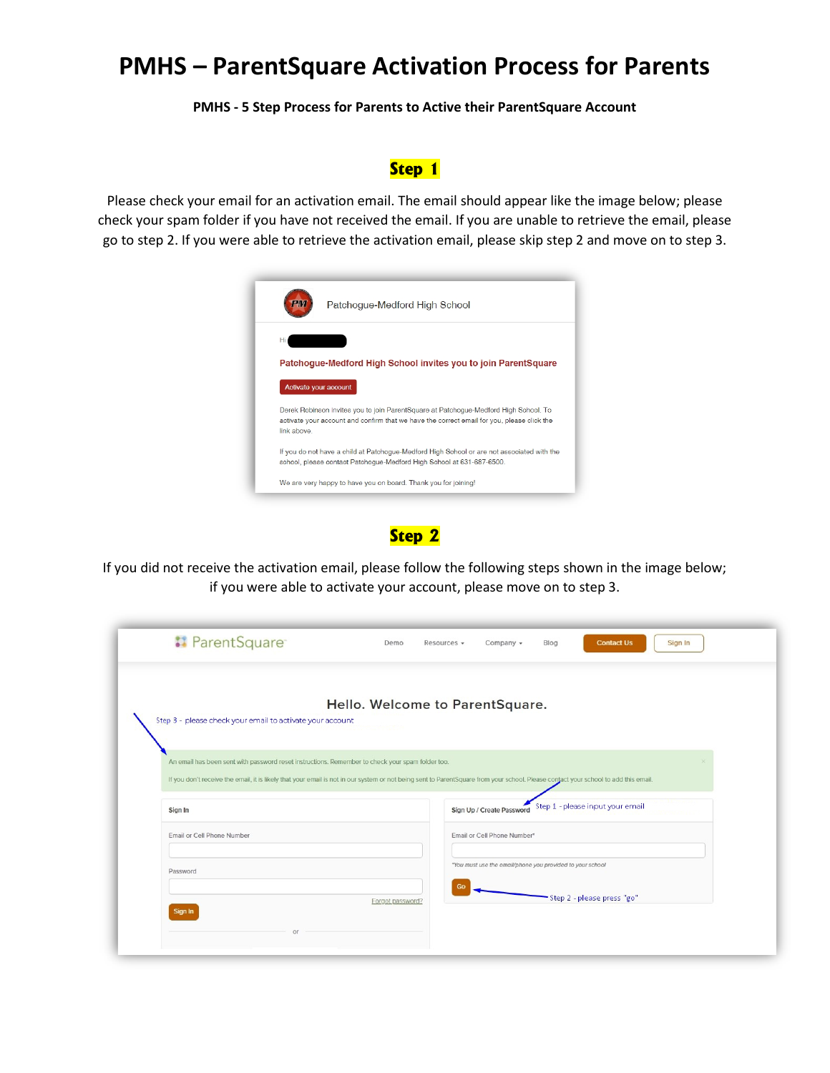### **PMHS – ParentSquare Activation Process for Parents**

 **PMHS - 5 Step Process for Parents to Active their ParentSquare Account** 

#### **Step 1**

 check your spam folder if you have not received the email. If you are unable to retrieve the email, please go to step 2. If you were able to retrieve the activation email, please skip step 2 and move on to step 3. Please check your email for an activation email. The email should appear like the image below; please



#### **Step 2**

 if you were able to activate your account, please move on to step 3. If you did not receive the activation email, please follow the following steps shown in the image below;

| <b>:</b> ParentSquare                                                                                                                                                                                                                                                                   | Demo                            | Resources - | Company -                                                 | Blog | <b>Contact Us</b>                | Sign In |
|-----------------------------------------------------------------------------------------------------------------------------------------------------------------------------------------------------------------------------------------------------------------------------------------|---------------------------------|-------------|-----------------------------------------------------------|------|----------------------------------|---------|
|                                                                                                                                                                                                                                                                                         | Hello. Welcome to ParentSquare. |             |                                                           |      |                                  |         |
| Step 3 - please check your email to activate your account                                                                                                                                                                                                                               |                                 |             |                                                           |      |                                  |         |
| An email has been sent with password reset instructions. Remember to check your spam folder too.<br>If you don't receive the email, it is likely that your email is not in our system or not being sent to ParentSquare from your school. Please contact your school to add this email. |                                 |             |                                                           |      |                                  |         |
| Sign In                                                                                                                                                                                                                                                                                 |                                 |             | Sign Up / Create Password                                 |      | Step 1 - please input your email |         |
| Email or Cell Phone Number                                                                                                                                                                                                                                                              |                                 |             | Email or Cell Phone Number*                               |      |                                  |         |
| Password                                                                                                                                                                                                                                                                                |                                 |             | "You must use the email/phone you provided to your school |      |                                  |         |
|                                                                                                                                                                                                                                                                                         |                                 |             |                                                           |      |                                  |         |
| Sign In                                                                                                                                                                                                                                                                                 | Forgot password?                |             |                                                           |      | -Step 2 - please press "go"      |         |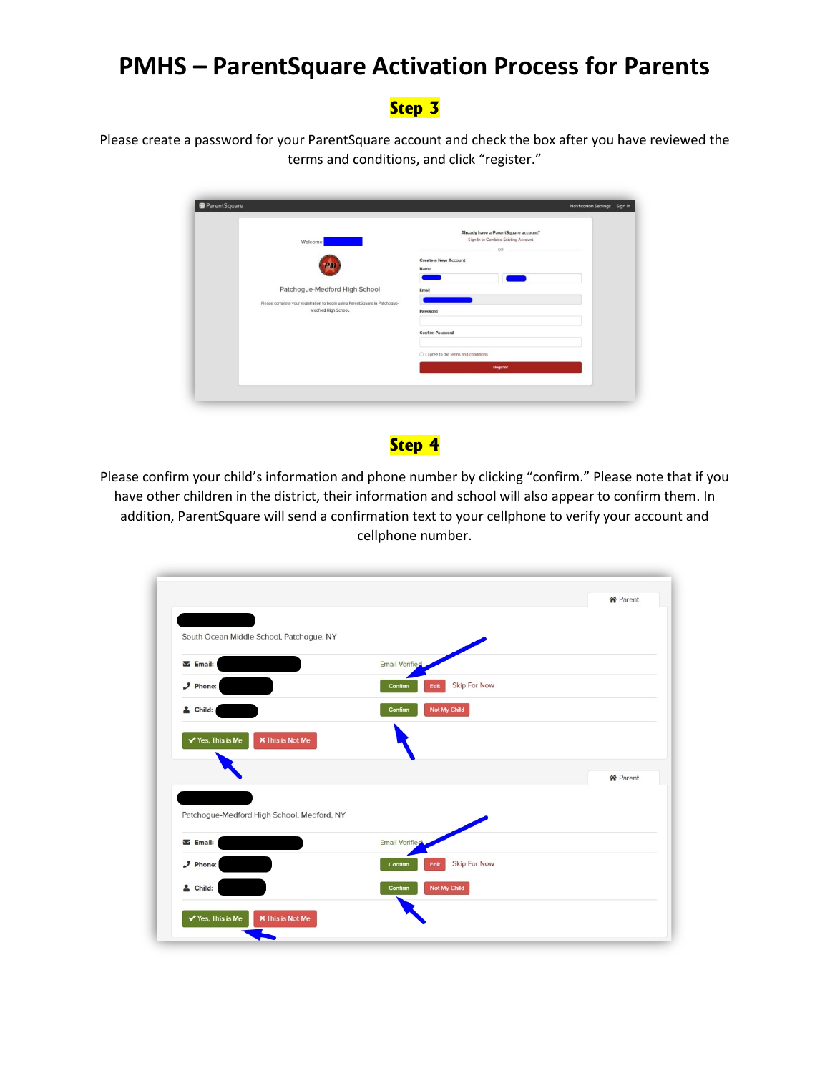## **PMHS – ParentSquare Activation Process for Parents**

### **Step 3**

Please create a password for your ParentSquare account and check the box after you have reviewed the terms and conditions, and click "register."

| Please complete your registration to begin using ParentSquare in Patchogue-<br>Medford High School. | Password<br>Confirm Password<br>□ I agree to the terms and conditions<br><b>Register</b> |
|-----------------------------------------------------------------------------------------------------|------------------------------------------------------------------------------------------|
|-----------------------------------------------------------------------------------------------------|------------------------------------------------------------------------------------------|

#### **Step 4**

 cellphone number. Please confirm your child's information and phone number by clicking "confirm." Please note that if you have other children in the district, their information and school will also appear to confirm them. In addition, ParentSquare will send a confirmation text to your cellphone to verify your account and

|                                                         |                                        | <b>谷</b> Parent |
|---------------------------------------------------------|----------------------------------------|-----------------|
| South Ocean Middle School, Patchogue, NY                |                                        |                 |
| $\triangleright$ Email:                                 | <b>Email Verified</b>                  |                 |
| $J$ Phone:                                              | <b>Skip For Now</b><br>Edit<br>Confirm |                 |
| $\triangle$ Child:                                      | Not My Child<br>Confirm                |                 |
| <b>X</b> This is Not Me<br>$\checkmark$ Yes, This is Me |                                        |                 |
|                                                         |                                        | <b>谷</b> Parent |
| Patchogue-Medford High School, Medford, NY              |                                        |                 |
| $\triangleright$ Email:                                 | <b>Email Verified</b>                  |                 |
| $\mathcal{I}$ Phone:                                    | Skip For Now<br>Edit<br>Confirm        |                 |
|                                                         | Not My Child<br><b>Confirm</b>         |                 |
| $\triangle$ Child:                                      |                                        |                 |